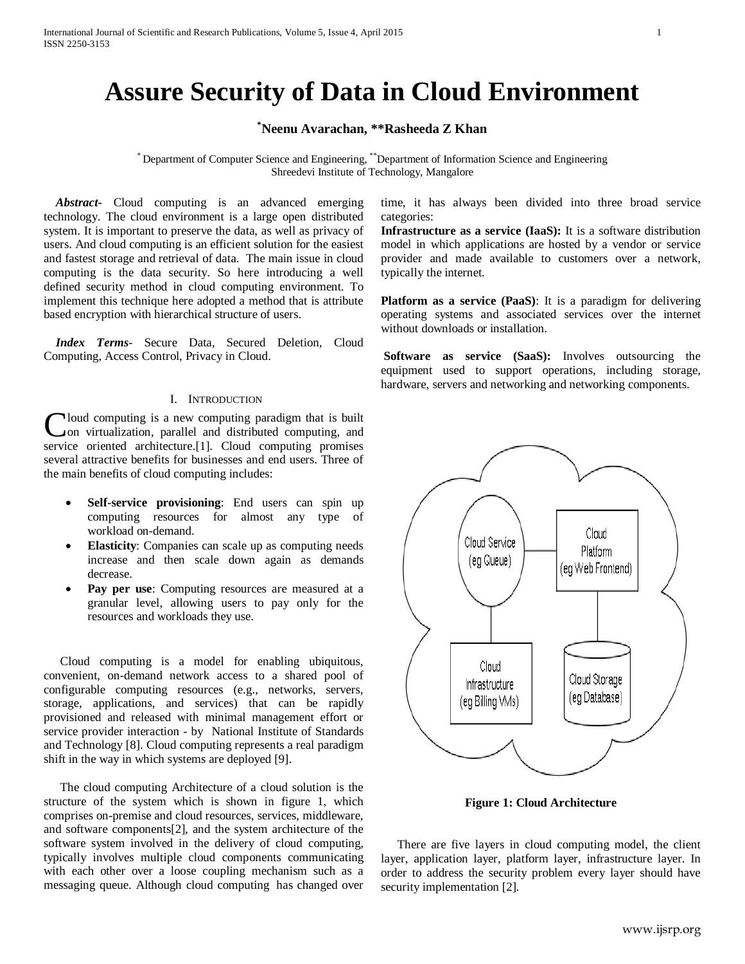# **Assure Security of Data in Cloud Environment**

# **\* Neenu Avarachan, \*\*Rasheeda Z Khan**

\* Department of Computer Science and Engineering, \*\*Department of Information Science and Engineering Shreedevi Institute of Technology, Mangalore

 *Abstract***-** Cloud computing is an advanced emerging technology. The cloud environment is a large open distributed system. It is important to preserve the data, as well as privacy of users. And cloud computing is an efficient solution for the easiest and fastest storage and retrieval of data. The main issue in cloud computing is the data security. So here introducing a well defined security method in cloud computing environment. To implement this technique here adopted a method that is attribute based encryption with hierarchical structure of users.

 *Index Terms*- Secure Data, Secured Deletion, Cloud Computing, Access Control, Privacy in Cloud.

#### I. INTRODUCTION

loud computing is a new computing paradigm that is built on virtualization, parallel and distributed computing, and Cloud computing is a new computing paradigm that is built<br>
convirtualization, parallel and distributed computing, and<br>
service oriented architecture.[1]. Cloud computing promises several attractive benefits for businesses and end users. Three of the main benefits of cloud computing includes:

- **Self-service provisioning**: End users can spin up computing resources for almost any type of workload on-demand.
- **Elasticity**: Companies can scale up as computing needs increase and then scale down again as demands decrease.
- Pay per use: Computing resources are measured at a granular level, allowing users to pay only for the resources and workloads they use.

Cloud computing is a model for enabling ubiquitous, convenient, on-demand network access to a shared pool of configurable computing resources (e.g., networks, servers, storage, applications, and services) that can be rapidly provisioned and released with minimal management effort or service provider interaction - by National Institute of Standards and Technology [8]. Cloud computing represents a real paradigm shift in the way in which systems are deployed [9].

The cloud computing Architecture of a cloud solution is the structure of the system which is shown in figure 1, which comprises on-premise and cloud resources, services, middleware, and software components[2], and the system architecture of the software system involved in the delivery of cloud computing, typically involves multiple cloud components communicating with each other over a loose coupling mechanism such as a messaging queue. Although cloud computing has changed over time, it has always been divided into three broad service categories:

**Infrastructure as a service (IaaS):** It is a software distribution model in which applications are hosted by a vendor or service provider and made available to customers over a network, typically the internet.

**Platform as a service (PaaS)**: It is a paradigm for delivering operating systems and associated services over the internet without downloads or installation.

**Software as service (SaaS):** Involves outsourcing the equipment used to support operations, including storage, hardware, servers and networking and networking components.



**Figure 1: Cloud Architecture**

There are five layers in cloud computing model, the client layer, application layer, platform layer, infrastructure layer. In order to address the security problem every layer should have security implementation [2].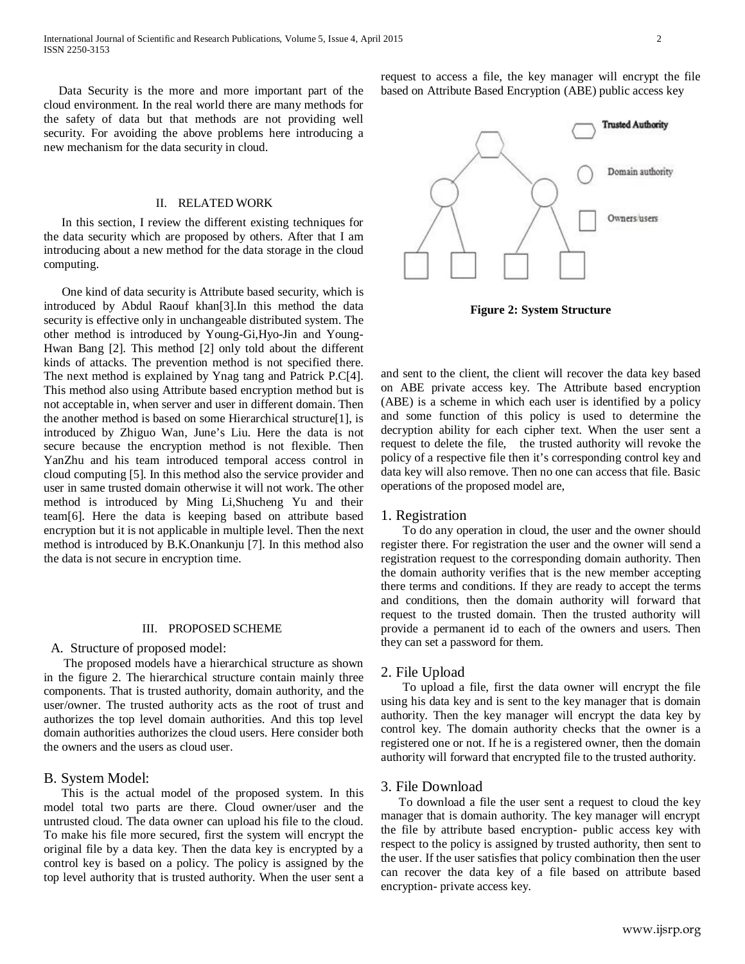Data Security is the more and more important part of the cloud environment. In the real world there are many methods for the safety of data but that methods are not providing well security. For avoiding the above problems here introducing a new mechanism for the data security in cloud.

#### II. RELATED WORK

 In this section, I review the different existing techniques for the data security which are proposed by others. After that I am introducing about a new method for the data storage in the cloud computing.

 One kind of data security is Attribute based security, which is introduced by Abdul Raouf khan[3].In this method the data security is effective only in unchangeable distributed system. The other method is introduced by Young-Gi,Hyo-Jin and Young-Hwan Bang [2]. This method [2] only told about the different kinds of attacks. The prevention method is not specified there. The next method is explained by Ynag tang and Patrick P.C[4]. This method also using Attribute based encryption method but is not acceptable in, when server and user in different domain. Then the another method is based on some Hierarchical structure[1], is introduced by Zhiguo Wan, June's Liu. Here the data is not secure because the encryption method is not flexible. Then YanZhu and his team introduced temporal access control in cloud computing [5]. In this method also the service provider and user in same trusted domain otherwise it will not work. The other method is introduced by Ming Li,Shucheng Yu and their team[6]. Here the data is keeping based on attribute based encryption but it is not applicable in multiple level. Then the next method is introduced by B.K.Onankunju [7]. In this method also the data is not secure in encryption time.

#### III. PROPOSED SCHEME

#### A. Structure of proposed model:

 The proposed models have a hierarchical structure as shown in the figure 2. The hierarchical structure contain mainly three components. That is trusted authority, domain authority, and the user/owner. The trusted authority acts as the root of trust and authorizes the top level domain authorities. And this top level domain authorities authorizes the cloud users. Here consider both the owners and the users as cloud user.

## B. System Model:

 This is the actual model of the proposed system. In this model total two parts are there. Cloud owner/user and the untrusted cloud. The data owner can upload his file to the cloud. To make his file more secured, first the system will encrypt the original file by a data key. Then the data key is encrypted by a control key is based on a policy. The policy is assigned by the top level authority that is trusted authority. When the user sent a request to access a file, the key manager will encrypt the file based on Attribute Based Encryption (ABE) public access key



**Figure 2: System Structure**

and sent to the client, the client will recover the data key based on ABE private access key. The Attribute based encryption (ABE) is a scheme in which each user is identified by a policy and some function of this policy is used to determine the decryption ability for each cipher text. When the user sent a request to delete the file, the trusted authority will revoke the policy of a respective file then it's corresponding control key and data key will also remove. Then no one can access that file. Basic operations of the proposed model are,

#### 1. Registration

 To do any operation in cloud, the user and the owner should register there. For registration the user and the owner will send a registration request to the corresponding domain authority. Then the domain authority verifies that is the new member accepting there terms and conditions. If they are ready to accept the terms and conditions, then the domain authority will forward that request to the trusted domain. Then the trusted authority will provide a permanent id to each of the owners and users. Then they can set a password for them.

## 2. File Upload

 To upload a file, first the data owner will encrypt the file using his data key and is sent to the key manager that is domain authority. Then the key manager will encrypt the data key by control key. The domain authority checks that the owner is a registered one or not. If he is a registered owner, then the domain authority will forward that encrypted file to the trusted authority.

#### 3. File Download

 To download a file the user sent a request to cloud the key manager that is domain authority. The key manager will encrypt the file by attribute based encryption- public access key with respect to the policy is assigned by trusted authority, then sent to the user. If the user satisfies that policy combination then the user can recover the data key of a file based on attribute based encryption- private access key.